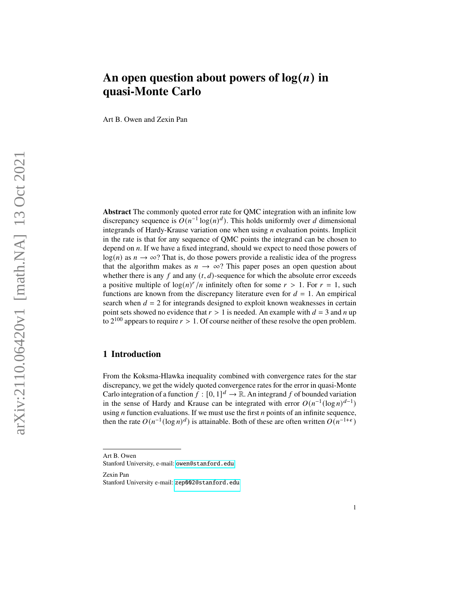# An open question about powers of  $log(n)$  in **quasi-Monte Carlo**

Art B. Owen and Zexin Pan

**Abstract** The commonly quoted error rate for QMC integration with an infinite low discrepancy sequence is  $O(n^{-1} \log(n)^d)$ . This holds uniformly over d dimensional integrands of Hardy-Krause variation one when using  $n$  evaluation points. Implicit in the rate is that for any sequence of QMC points the integrand can be chosen to depend on  $n$ . If we have a fixed integrand, should we expect to need those powers of  $log(n)$  as  $n \to \infty$ ? That is, do those powers provide a realistic idea of the progress that the algorithm makes as  $n \to \infty$ ? This paper poses an open question about whether there is any f and any  $(t, d)$ -sequence for which the absolute error exceeds a positive multiple of  $\log(n)^r/n$  infinitely often for some  $r > 1$ . For  $r = 1$ , such functions are known from the discrepancy literature even for  $d = 1$ . An empirical search when  $d = 2$  for integrands designed to exploit known weaknesses in certain point sets showed no evidence that  $r > 1$  is needed. An example with  $d = 3$  and n up to  $2^{100}$  appears to require  $r > 1$ . Of course neither of these resolve the open problem.

## **1 Introduction**

From the Koksma-Hlawka inequality combined with convergence rates for the star discrepancy, we get the widely quoted convergence rates for the error in quasi-Monte Carlo integration of a function  $f : [0, 1]^d \to \mathbb{R}$ . An integrand f of bounded variation in the sense of Hardy and Krause can be integrated with error  $O(n^{-1}(\log n)^{d-1})$ using  $n$  function evaluations. If we must use the first  $n$  points of an infinite sequence, then the rate  $O(n^{-1}(\log n)^d)$  is attainable. Both of these are often written  $O(n^{-1+\epsilon})$ 

Art B. Owen Stanford University, e-mail: <owen@stanford.edu>

Zexin Pan Stanford University e-mail: <zep002@stanford.edu>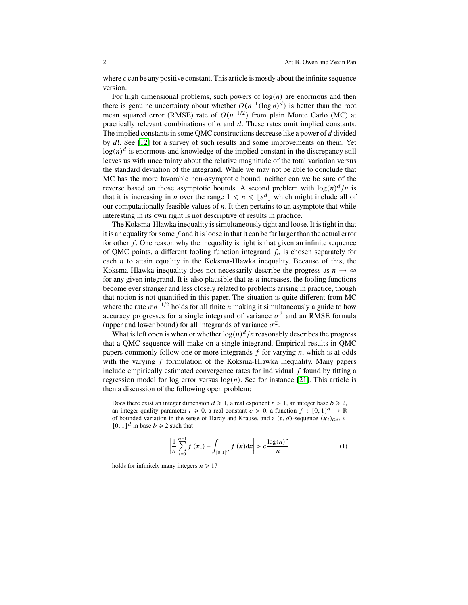where  $\epsilon$  can be any positive constant. This article is mostly about the infinite sequence version.

For high dimensional problems, such powers of  $log(n)$  are enormous and then there is genuine uncertainty about whether  $O(n^{-1}(\log n)^d)$  is better than the root mean squared error (RMSE) rate of  $O(n^{-1/2})$  from plain Monte Carlo (MC) at practically relevant combinations of  $n$  and  $d$ . These rates omit implied constants. The implied constants in some QMC constructions decrease like a power of  $d$  divided by  $d!$ . See [\[12\]](#page-18-0) for a survey of such results and some improvements on them. Yet  $log(n)^d$  is enormous and knowledge of the implied constant in the discrepancy still leaves us with uncertainty about the relative magnitude of the total variation versus the standard deviation of the integrand. While we may not be able to conclude that MC has the more favorable non-asymptotic bound, neither can we be sure of the reverse based on those asymptotic bounds. A second problem with  $\log(n)^d/n$  is that it is increasing in *n* over the range  $1 \le n \le \lfloor e^d \rfloor$  which might include all of our computationally feasible values of  $n$ . It then pertains to an asymptote that while interesting in its own right is not descriptive of results in practice.

The Koksma-Hlawka inequality is simultaneously tight and loose. It is tight in that it is an equality for some  $f$  and it is loose in that it can be far larger than the actual error for other  $f$ . One reason why the inequality is tight is that given an infinite sequence of QMC points, a different fooling function integrand  $\tilde{f}_n$  is chosen separately for each  $n$  to attain equality in the Koksma-Hlawka inequality. Because of this, the Koksma-Hlawka inequality does not necessarily describe the progress as  $n \to \infty$ for any given integrand. It is also plausible that as  $n$  increases, the fooling functions become ever stranger and less closely related to problems arising in practice, though that notion is not quantified in this paper. The situation is quite different from MC where the rate  $\sigma n^{-1/2}$  holds for all finite *n* making it simultaneously a guide to how accuracy progresses for a single integrand of variance  $\sigma^2$  and an RMSE formula (upper and lower bound) for all integrands of variance  $\sigma^2$ .

What is left open is when or whether  $log(n)^d/n$  reasonably describes the progress that a QMC sequence will make on a single integrand. Empirical results in QMC papers commonly follow one or more integrands  $f$  for varying  $n$ , which is at odds with the varying  $f$  formulation of the Koksma-Hlawka inequality. Many papers include empirically estimated convergence rates for individual  $f$  found by fitting a regression model for log error versus  $log(n)$ . See for instance [\[21\]](#page-19-0). This article is then a discussion of the following open problem:

Does there exist an integer dimension  $d \ge 1$ , a real exponent  $r > 1$ , an integer base  $b \ge 2$ , an integer quality parameter  $t \ge 0$ , a real constant  $c > 0$ , a function  $f : [0, 1]^d \to \mathbb{R}$ of bounded variation in the sense of Hardy and Krause, and a  $(t, d)$ -sequence  $(x_i)_{i\geqslant 0}$  $[0, 1]^d$  in base  $b \ge 2$  such that

<span id="page-1-0"></span>
$$
\left| \frac{1}{n} \sum_{i=0}^{n-1} f(x_i) - \int_{[0,1]^d} f(x) dx \right| > c \frac{\log(n)^r}{n}
$$
 (1)

holds for infinitely many integers  $n \ge 1$ ?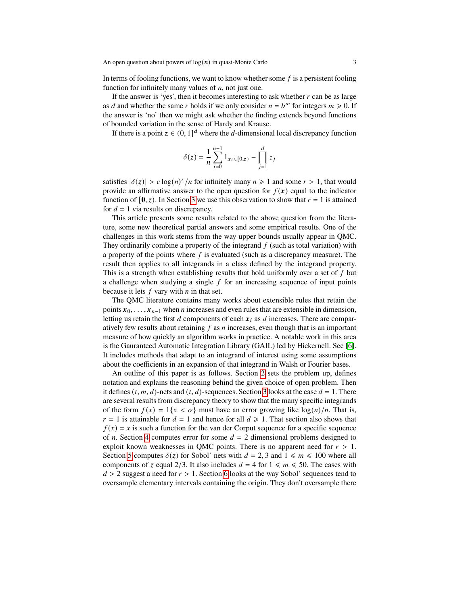In terms of fooling functions, we want to know whether some  $f$  is a persistent fooling function for infinitely many values of  $n$ , not just one.

If the answer is 'yes', then it becomes interesting to ask whether  $r$  can be as large as *d* and whether the same *r* holds if we only consider  $n = b^m$  for integers  $m \ge 0$ . If the answer is 'no' then we might ask whether the finding extends beyond functions of bounded variation in the sense of Hardy and Krause.

If there is a point  $z \in (0, 1]^d$  where the d-dimensional local discrepancy function

$$
\delta(z) = \frac{1}{n} \sum_{i=0}^{n-1} 1_{x_i \in [0,z)} - \prod_{j=1}^d z_j
$$

satisfies  $|\delta(z)| > c \log(n)^r / n$  for infinitely many  $n \ge 1$  and some  $r > 1$ , that would provide an affirmative answer to the open question for  $f(x)$  equal to the indicator function of  $[0, z)$ . In Section [3](#page-6-0) we use this observation to show that  $r = 1$  is attained for  $d = 1$  via results on discrepancy.

This article presents some results related to the above question from the literature, some new theoretical partial answers and some empirical results. One of the challenges in this work stems from the way upper bounds usually appear in QMC. They ordinarily combine a property of the integrand  $f$  (such as total variation) with a property of the points where  $f$  is evaluated (such as a discrepancy measure). The result then applies to all integrands in a class defined by the integrand property. This is a strength when establishing results that hold uniformly over a set of  $f$  but a challenge when studying a single  $f$  for an increasing sequence of input points because it lets  $f$  vary with  $n$  in that set.

The QMC literature contains many works about extensible rules that retain the points  $x_0, \ldots, x_{n-1}$  when *n* increases and even rules that are extensible in dimension, letting us retain the first  $d$  components of each  $x_i$  as  $d$  increases. There are comparatively few results about retaining  $f$  as  $n$  increases, even though that is an important measure of how quickly an algorithm works in practice. A notable work in this area is the Gauranteed Automatic Integration Library (GAIL) led by Hickernell. See [\[6\]](#page-18-1). It includes methods that adapt to an integrand of interest using some assumptions about the coefficients in an expansion of that integrand in Walsh or Fourier bases.

An outline of this paper is as follows. Section [2](#page-3-0) sets the problem up, defines notation and explains the reasoning behind the given choice of open problem. Then it defines  $(t, m, d)$ -nets and  $(t, d)$ -sequences. Section [3](#page-6-0) looks at the case  $d = 1$ . There are several results from discrepancy theory to show that the many specific integrands of the form  $f(x) = 1\{x < \alpha\}$  must have an error growing like  $\log(n)/n$ . That is,  $r = 1$  is attainable for  $d = 1$  and hence for all  $d \ge 1$ . That section also shows that  $f(x) = x$  is such a function for the van der Corput sequence for a specific sequence of *n*. Section [4](#page-9-0) computes error for some  $d = 2$  dimensional problems designed to exploit known weaknesses in QMC points. There is no apparent need for  $r > 1$ . Section [5](#page-13-0) computes  $\delta(z)$  for Sobol' nets with  $d = 2, 3$  and  $1 \le m \le 100$  where all components of z equal 2/3. It also includes  $d = 4$  for  $1 \le m \le 50$ . The cases with  $d > 2$  suggest a need for  $r > 1$ . Section [6](#page-14-0) looks at the way Sobol' sequences tend to oversample elementary intervals containing the origin. They don't oversample there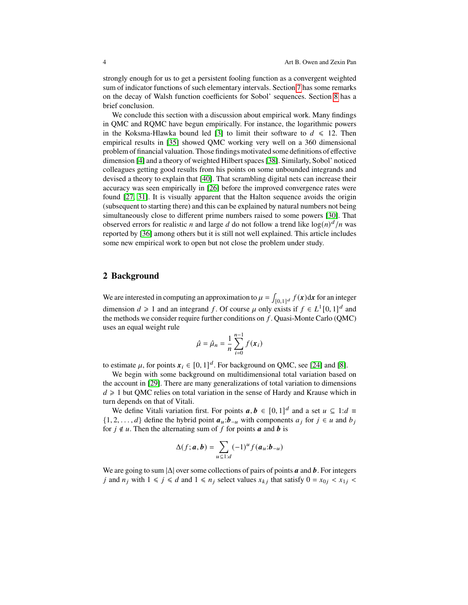strongly enough for us to get a persistent fooling function as a convergent weighted sum of indicator functions of such elementary intervals. Section [7](#page-16-0) has some remarks on the decay of Walsh function coefficients for Sobol' sequences. Section [8](#page-17-0) has a brief conclusion.

We conclude this section with a discussion about empirical work. Many findings in QMC and RQMC have begun empirically. For instance, the logarithmic powers in the Koksma-Hlawka bound led [\[3\]](#page-18-2) to limit their software to  $d \leq 12$ . Then empirical results in [\[35\]](#page-19-1) showed QMC working very well on a 360 dimensional problem of financial valuation. Those findings motivated some definitions of effective dimension [\[4\]](#page-18-3) and a theory of weighted Hilbert spaces [\[38\]](#page-19-2). Similarly, Sobol' noticed colleagues getting good results from his points on some unbounded integrands and devised a theory to explain that [\[40\]](#page-19-3). That scrambling digital nets can increase their accuracy was seen empirically in [\[26\]](#page-19-4) before the improved convergence rates were found [\[27,](#page-19-5) [31\]](#page-19-6). It is visually apparent that the Halton sequence avoids the origin (subsequent to starting there) and this can be explained by natural numbers not being simultaneously close to different prime numbers raised to some powers [\[30\]](#page-19-7). That observed errors for realistic *n* and large *d* do not follow a trend like  $\log(n)^d/n$  was reported by [\[36\]](#page-19-8) among others but it is still not well explained. This article includes some new empirical work to open but not close the problem under study.

#### <span id="page-3-0"></span>**2 Background**

We are interested in computing an approximation to  $\mu = \int_{[0,1]^d} f(\mathbf{x}) d\mathbf{x}$  for an integer dimension  $d \ge 1$  and an integrand f. Of course  $\mu$  only exists if  $f \in L^1[0,1]^d$  and the methods we consider require further conditions on  $f$ . Quasi-Monte Carlo (QMC) uses an equal weight rule

$$
\hat{\mu} = \hat{\mu}_n = \frac{1}{n} \sum_{i=0}^{n-1} f(\mathbf{x}_i)
$$

to estimate  $\mu$ , for points  $x_i \in [0, 1]^d$ . For background on QMC, see [\[24\]](#page-19-9) and [\[8\]](#page-18-4).

We begin with some background on multidimensional total variation based on the account in [\[29\]](#page-19-10). There are many generalizations of total variation to dimensions  $d \geq 1$  but QMC relies on total variation in the sense of Hardy and Krause which in turn depends on that of Vitali.

We define Vitali variation first. For points  $a, b \in [0, 1]^d$  and a set  $u \subseteq 1:d \equiv$  $\{1, 2, \ldots, d\}$  define the hybrid point  $a_u : b_{-u}$  with components  $a_j$  for  $j \in u$  and  $b_j$ for  $j \notin u$ . Then the alternating sum of f for points **a** and **b** is

$$
\Delta(f; \boldsymbol{a}, \boldsymbol{b}) = \sum_{u \subseteq 1:d} (-1)^u f(\boldsymbol{a}_u; \boldsymbol{b}_{-u})
$$

We are going to sum  $|\Delta|$  over some collections of pairs of points **a** and **b**. For integers j and  $n_j$  with  $1 \le j \le d$  and  $1 \le n_j$  select values  $x_{kj}$  that satisfy  $0 = x_{0j} < x_{1j}$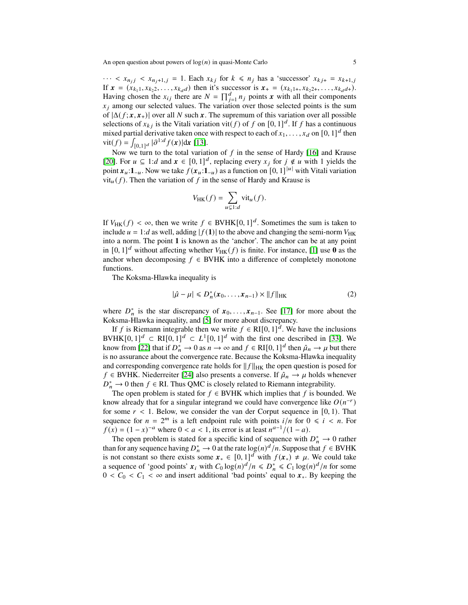$\cdots < x_{n_j} < x_{n_j+1,j} = 1$ . Each  $x_{kj}$  for  $k \le n_j$  has a 'successor'  $x_{kj+} = x_{k+1,j}$ If  $\mathbf{x} = (x_{k_1 1}, x_{k_2 2}, \dots, x_{k_d d})$  then it's successor is  $\mathbf{x}_+ = (x_{k_1 1+}, x_{k_2 2+}, \dots, x_{k_d d+}).$ Having chosen the  $x_{ij}$  there are  $N = \prod_{j=1}^d n_j$  points x with all their components  $x_i$  among our selected values. The variation over those selected points is the sum of  $|\Delta(f; x, x_+)|$  over all N such x. The supremum of this variation over all possible selections of  $x_{kj}$  is the Vitali variation vit(f) of f on [0, 1]<sup>d</sup>. If f has a continuous mixed partial derivative taken once with respect to each of  $x_1, \ldots, x_d$  on  $[0, 1]^d$  then vit(f) =  $\int_{[0,1]^d} |\partial^{1:d} f(\mathbf{x})| d\mathbf{x}$  [\[13\]](#page-18-5).

Now we turn to the total variation of  $f$  in the sense of Hardy [\[16\]](#page-18-6) and Krause [\[20\]](#page-18-7). For  $u \subseteq 1:d$  and  $x \in [0,1]^d$ , replacing every  $x_j$  for  $j \notin u$  with 1 yields the point  $x_u: 1_{-u}$ . Now we take  $f(x_u: 1_{-u})$  as a function on [0, 1]<sup>|*u*|</sup> with Vitali variation  $vit_{\mu}(f)$ . Then the variation of f in the sense of Hardy and Krause is

$$
V_{HK}(f) = \sum_{u \subsetneq 1:d} \text{vit}_u(f).
$$

If  $V_{HK}(f) < \infty$ , then we write  $f \in BVHK[0, 1]^d$ . Sometimes the sum is taken to include  $u = 1:d$  as well, adding  $|f(1)|$  to the above and changing the semi-norm  $V_{HK}$ into a norm. The point **1** is known as the 'anchor'. The anchor can be at any point in  $[0, 1]^d$  without affecting whether  $V_{HK}(f)$  is finite. For instance, [\[1\]](#page-18-8) use **0** as the anchor when decomposing  $f \in BVHK$  into a difference of completely monotone functions.

The Koksma-Hlawka inequality is

$$
|\hat{\mu} - \mu| \le D_n^*(\mathbf{x}_0, \dots, \mathbf{x}_{n-1}) \times ||f||_{\text{HK}} \tag{2}
$$

where  $D_n^*$  is the star discrepancy of  $x_0, \ldots, x_{n-1}$ . See [\[17\]](#page-18-9) for more about the Koksma-Hlawka inequality, and [\[5\]](#page-18-10) for more about discrepancy.

If f is Riemann integrable then we write  $f \in \text{RI}[0,1]^d$ . We have the inclusions BVHK $[0,1]^d \subset \mathbb{R}$  $[0,1]^d \subset L^1[0,1]^d$  with the first one described in [\[33\]](#page-19-11). We know from [\[22\]](#page-19-12) that if  $D_n^* \to 0$  as  $n \to \infty$  and  $f \in R[[0, 1]^d$  then  $\hat{\mu}_n \to \mu$  but there is no assurance about the convergence rate. Because the Koksma-Hlawka inequality and corresponding convergence rate holds for  $||f||_{HK}$  the open question is posed for  $f \in BVHK$ . Niederreiter [\[24\]](#page-19-9) also presents a converse. If  $\hat{\mu}_n \to \mu$  holds whenever  $D_n^* \to 0$  then  $f \in \mathbb{R}$ . Thus QMC is closely related to Riemann integrability.

The open problem is stated for  $f \in BVHK$  which implies that f is bounded. We know already that for a singular integrand we could have convergence like  $O(n^{-r})$ for some  $r < 1$ . Below, we consider the van der Corput sequence in [0, 1). That sequence for  $n = 2^m$  is a left endpoint rule with points  $i/n$  for  $0 \le i \le n$ . For  $f(x) = (1 - x)^{-a}$  where  $0 < a < 1$ , its error is at least  $n^{a-1}/(1 - a)$ .

The open problem is stated for a specific kind of sequence with  $D_n^* \to 0$  rather than for any sequence having  $D_n^* \to 0$  at the rate  $\log(n)^d/n$ . Suppose that  $f \in BVHK$ is not constant so there exists some  $x_* \in [0,1]^d$  with  $f(x_*) \neq \mu$ . We could take a sequence of 'good points'  $x_i$  with  $C_0 \log(n)^d / n \leq D_n^* \leq C_1 \log(n)^d / n$  for some  $0 < C_0 < C_1 < \infty$  and insert additional 'bad points' equal to  $x_*$ . By keeping the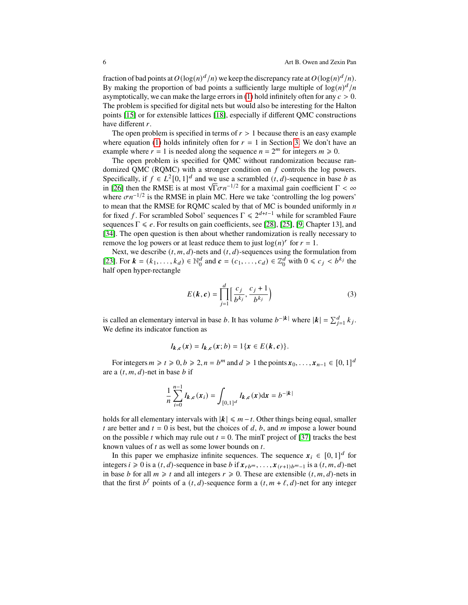fraction of bad points at  $O(\log(n)^d/n)$  we keep the discrepancy rate at  $O(\log(n)^d/n)$ . By making the proportion of bad points a sufficiently large multiple of  $\log(n)^d/n$ asymptotically, we can make the large errors in [\(1\)](#page-1-0) hold infinitely often for any  $c > 0$ . The problem is specified for digital nets but would also be interesting for the Halton points [\[15\]](#page-18-11) or for extensible lattices [\[18\]](#page-18-12), especially if different QMC constructions have different  $r$ .

The open problem is specified in terms of  $r > 1$  because there is an easy example where equation [\(1\)](#page-1-0) holds infinitely often for  $r = 1$  in Section [3.](#page-6-0) We don't have an example where  $r = 1$  is needed along the sequence  $n = 2^m$  for integers  $m \ge 0$ .

The open problem is specified for QMC without randomization because randomized QMC (RQMC) with a stronger condition on  $f$  controls the log powers. Specifically, if  $f \in L^2[0,1]^d$  and we use a scrambled  $(t, d)$ -sequence in base b as Specifically, if  $f \in L^2[0, 1]^{\alpha}$  and we use a scrambled  $(t, d)$ -sequence in base b as in [\[26\]](#page-19-4) then the RMSE is at most  $\sqrt{\Gamma \sigma} n^{-1/2}$  for a maximal gain coefficient  $\Gamma < \infty$ where  $\sigma n^{-1/2}$  is the RMSE in plain MC. Here we take 'controlling the log powers' to mean that the RMSE for RQMC scaled by that of MC is bounded uniformly in  $n$ for fixed f. For scrambled Sobol' sequences  $\Gamma \le 2^{d+t-1}$  while for scrambled Faure sequences  $\Gamma \leq e$ . For results on gain coefficients, see [\[28\]](#page-19-13), [\[25\]](#page-19-14), [\[9,](#page-18-13) Chapter 13], and [\[34\]](#page-19-15). The open question is then about whether randomization is really necessary to remove the log powers or at least reduce them to just  $log(n)^r$  for  $r = 1$ .

Next, we describe  $(t, m, d)$ -nets and  $(t, d)$ -sequences using the formulation from [\[23\]](#page-19-16). For  $k = (k_1, ..., k_d) \in \mathbb{N}_0^d$  $\begin{array}{c} d \\ 0 \end{array}$  and  $\mathbf{c} = (c_1, \ldots, c_d) \in \mathbb{Z}_0^d$  $\int_0^d$  with  $0 \le c_j < b^{k_j}$  the half open hyper-rectangle

<span id="page-5-0"></span>
$$
E(\mathbf{k}, \mathbf{c}) = \prod_{j=1}^{d} \left[ \frac{c_j}{b^{k_j}}, \frac{c_j + 1}{b^{k_j}} \right)
$$
(3)

is called an elementary interval in base *b*. It has volume  $b^{-|k|}$  where  $|k| = \sum_{j=1}^{d} k_j$ . We define its indicator function as

$$
I_{k,c}(x) = I_{k,c}(x;b) = 1\{x \in E(k,c)\}.
$$

For integers  $m \ge t \ge 0, b \ge 2, n = b^m$  and  $d \ge 1$  the points  $x_0, \ldots, x_{n-1} \in [0, 1]^d$ are a  $(t, m, d)$ -net in base b if

$$
\frac{1}{n}\sum_{i=0}^{n-1}I_{k,c}(x_i) = \int_{[0,1]^d}I_{k,c}(x)\mathrm{d}x = b^{-|k|}
$$

holds for all elementary intervals with  $|k| \le m - t$ . Other things being equal, smaller t are better and  $t = 0$  is best, but the choices of d, b, and m impose a lower bound on the possible *t* which may rule out  $t = 0$ . The minT project of [\[37\]](#page-19-17) tracks the best known values of  $t$  as well as some lower bounds on  $t$ .

In this paper we emphasize infinite sequences. The sequence  $x_i \in [0, 1]^d$  for integers  $i \ge 0$  is a  $(t, d)$ -sequence in base b if  $\mathbf{x}_{rb^m}, \ldots, \mathbf{x}_{(r+1)b^{m-1}}$  is a  $(t, m, d)$ -net in base *b* for all  $m \ge t$  and all integers  $r \ge 0$ . These are extensible  $(t, m, d)$ -nets in that the first  $b^{\ell}$  points of a  $(t, d)$ -sequence form a  $(t, m + \ell, d)$ -net for any integer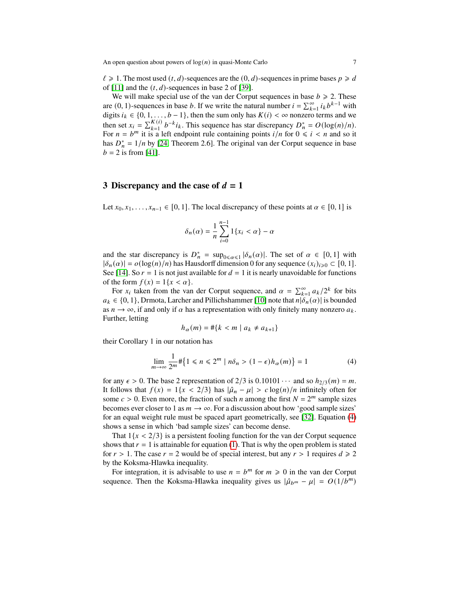$\ell \geq 1$ . The most used  $(t, d)$ -sequences are the  $(0, d)$ -sequences in prime bases  $p \geq d$ of [\[11\]](#page-18-14) and the  $(t, d)$ -sequences in base 2 of [\[39\]](#page-19-18).

We will make special use of the van der Corput sequences in base  $b \ge 2$ . These are (0, 1)-sequences in base *b*. If we write the natural number  $i = \sum_{k=1}^{\infty} i_k b^{k-1}$  with digits  $i_k \in \{0, 1, \ldots, b-1\}$ , then the sum only has  $K(i) < \infty$  nonzero terms and we then set  $x_i = \sum_{k=1}^{K(i)} b^{-k} i_k$ . This sequence has star discrepancy  $D_n^* = O(\log(n)/n)$ . For  $n = b^m$  it is a left endpoint rule containing points  $i/n$  for  $0 \le i < n$  and so it has  $D_n^* = 1/n$  by [\[24,](#page-19-9) Theorem 2.6]. The original van der Corput sequence in base  $b = 2$  is from [\[41\]](#page-19-19).

#### <span id="page-6-0"></span>**3 Discrepancy and the case of**  $d = 1$

Let  $x_0, x_1, \ldots, x_{n-1} \in [0, 1]$ . The local discrepancy of these points at  $\alpha \in [0, 1]$  is

$$
\delta_n(\alpha) = \frac{1}{n} \sum_{i=0}^{n-1} 1\{x_i < \alpha\} - \alpha
$$

and the star discrepancy is  $D_n^* = \sup_{0 \le \alpha \le 1} |\delta_n(\alpha)|$ . The set of  $\alpha \in [0, 1]$  with  $|\delta_n(\alpha)| = o(\log(n)/n)$  has Hausdorff dimension 0 for any sequence  $(x_i)_{i\geqslant0} \subset [0, 1]$ . See [\[14\]](#page-18-15). So  $r = 1$  is not just available for  $d = 1$  it is nearly unavoidable for functions of the form  $f(x) = 1\{x < \alpha\}.$ 

For  $x_i$  taken from the van der Corput sequence, and  $\alpha = \sum_{k=1}^{\infty} a_k/2^k$  for bits  $a_k \in \{0, 1\}$ , Drmota, Larcher and Pillichshammer [\[10\]](#page-18-16) note that  $n | \delta_n(\alpha)|$  is bounded as  $n \to \infty$ , if and only if  $\alpha$  has a representation with only finitely many nonzero  $a_k$ . Further, letting

<span id="page-6-1"></span>
$$
h_{\alpha}(m) = \#\{k < m \mid a_k \neq a_{k+1}\}
$$

their Corollary 1 in our notation has

$$
\lim_{m \to \infty} \frac{1}{2^m} \# \left\{ 1 \le n \le 2^m \mid n\delta_n > (1 - \epsilon)h_\alpha(m) \right\} = 1 \tag{4}
$$

for any  $\epsilon > 0$ . The base 2 representation of 2/3 is  $0.10101 \cdots$  and so  $h_{2/3}(m) = m$ . It follows that  $f(x) = 1\{x < 2/3\}$  has  $|\hat{\mu}_n - \mu| > c \log(n)/n$  infinitely often for some  $c > 0$ . Even more, the fraction of such *n* among the first  $N = 2^m$  sample sizes becomes ever closer to 1 as  $m \to \infty$ . For a discussion about how 'good sample sizes' for an equal weight rule must be spaced apart geometrically, see [\[32\]](#page-19-20). Equation [\(4\)](#page-6-1) shows a sense in which 'bad sample sizes' can become dense.

That  $1\{x < 2/3\}$  is a persistent fooling function for the van der Corput sequence shows that  $r = 1$  is attainable for equation [\(1\)](#page-1-0). That is why the open problem is stated for  $r > 1$ . The case  $r = 2$  would be of special interest, but any  $r > 1$  requires  $d \ge 2$ by the Koksma-Hlawka inequality.

For integration, it is advisable to use  $n = b^m$  for  $m \ge 0$  in the van der Corput sequence. Then the Koksma-Hlawka inequality gives us  $|\hat{\mu}_{b^m} - \mu| = O(1/b^m)$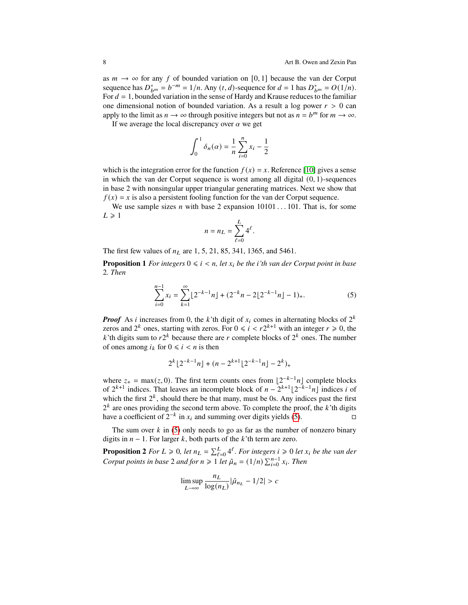as  $m \to \infty$  for any f of bounded variation on [0, 1] because the van der Corput sequence has  $D_{b^m}^* = b^{-m} = 1/n$ . Any  $(t, d)$ -sequence for  $d = 1$  has  $D_{b^m}^* = O(1/n)$ . For  $d = 1$ , bounded variation in the sense of Hardy and Krause reduces to the familiar one dimensional notion of bounded variation. As a result a log power  $r > 0$  can apply to the limit as  $n \to \infty$  through positive integers but not as  $n = b^m$  for  $m \to \infty$ .

If we average the local discrepancy over  $\alpha$  we get

$$
\int_0^1 \delta_n(\alpha) = \frac{1}{n} \sum_{i=0}^n x_i - \frac{1}{2}
$$

which is the integration error for the function  $f(x) = x$ . Reference [\[10\]](#page-18-16) gives a sense in which the van der Corput sequence is worst among all digital  $(0, 1)$ -sequences in base 2 with nonsingular upper triangular generating matrices. Next we show that  $f(x) = x$  is also a persistent fooling function for the van der Corput sequence.

We use sample sizes *n* with base 2 expansion  $10101 \dots 101$ . That is, for some  $L \geq 1$ 

<span id="page-7-0"></span>
$$
n = n_L = \sum_{\ell=0}^L 4^{\ell}.
$$

The first few values of  $n_l$  are 1, 5, 21, 85, 341, 1365, and 5461.

<span id="page-7-1"></span>**Proposition 1** *For integers*  $0 \le i \le n$ , let  $x_i$  be the *i*'th van der Corput point in base 2*. Then*

$$
\sum_{i=0}^{n-1} x_i = \sum_{k=1}^{\infty} \lfloor 2^{-k-1} n \rfloor + (2^{-k} n - 2 \lfloor 2^{-k-1} n \rfloor - 1)_+.
$$
 (5)

*Proof* As *i* increases from 0, the *k*'th digit of  $x_i$  comes in alternating blocks of  $2^k$ zeros and  $2^k$  ones, starting with zeros. For  $0 \le i \le r2^{k+1}$  with an integer  $r \ge 0$ , the k'th digits sum to  $r2^k$  because there are r complete blocks of  $2^k$  ones. The number of ones among  $i_k$  for  $0 \le i \le n$  is then

$$
2^k\lfloor 2^{-k-1}n\rfloor+(n-2^{k+1}\lfloor 2^{-k-1}n\rfloor-2^k)_+
$$

where  $z_+ = \max(z, 0)$ . The first term counts ones from  $\lfloor 2^{-k-1}n \rfloor$  complete blocks of  $2^{k+1}$  indices. That leaves an incomplete block of  $n - 2^{k+1} \lfloor 2^{-k-1} n \rfloor$  indices i of which the first  $2^k$ , should there be that many, must be 0s. Any indices past the first  $2<sup>k</sup>$  are ones providing the second term above. To complete the proof, the  $k$ 'th digits have a coefficient of  $2^{-k}$  in  $x_i$  and summing over digits yields [\(5\)](#page-7-0).  $\Box$ 

The sum over  $k$  in [\(5\)](#page-7-0) only needs to go as far as the number of nonzero binary digits in  $n - 1$ . For larger k, both parts of the k'th term are zero.

**Proposition 2** *For*  $L \ge 0$ , let  $n_L = \sum_{\ell=0}^L 4^{\ell}$ . For integers  $i \ge 0$  let  $x_i$  be the van der *Corput points in base* 2 *and for*  $n \ge 1$  *let*  $\hat{\mu}_n = (1/n) \sum_{i=0}^{n-1} x_i$ *. Then* 

$$
\limsup_{L \to \infty} \frac{n_L}{\log(n_L)} |\hat{\mu}_{n_L} - 1/2| > c
$$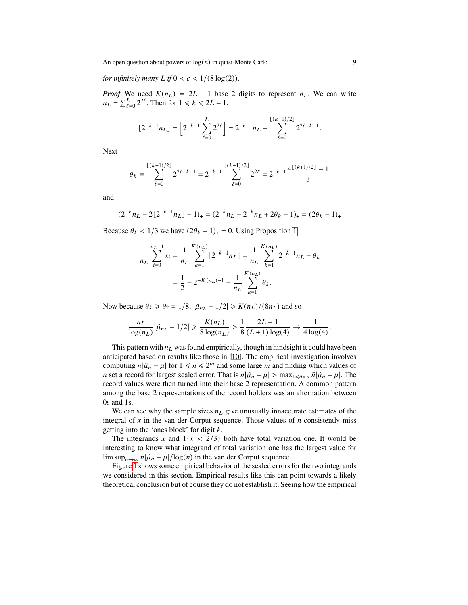An open question about powers of  $log(n)$  in quasi-Monte Carlo 9

*for infinitely many*  $L$  *if*  $0 < c < 1/(8 \log(2))$ *.* 

*Proof* We need  $K(n_L) = 2L - 1$  base 2 digits to represent  $n_L$ . We can write  $n_L = \sum_{\ell=0}^{L} 2^{2\ell}$ . Then for  $1 \le k \le 2L - 1$ ,

$$
\lfloor 2^{-k-1} n_L \rfloor = \left\lfloor 2^{-k-1} \sum_{\ell=0}^L 2^{2\ell} \right\rfloor = 2^{-k-1} n_L - \sum_{\ell=0}^{\lfloor (k-1)/2 \rfloor} 2^{2\ell - k - 1}.
$$

Next

$$
\theta_k \equiv \sum_{\ell=0}^{\lfloor (k-1)/2 \rfloor} 2^{2\ell - k - 1} = 2^{-k-1} \sum_{\ell=0}^{\lfloor (k-1)/2 \rfloor} 2^{2\ell} = 2^{-k-1} \frac{4^{\lfloor (k+1)/2 \rfloor} - 1}{3}
$$

and

$$
(2^{-k}n_L - 2\lfloor 2^{-k-1}n_L \rfloor - 1)_+ = (2^{-k}n_L - 2^{-k}n_L + 2\theta_k - 1)_+ = (2\theta_k - 1)_+
$$

Because  $\theta_k < 1/3$  we have  $(2\theta_k - 1)_+ = 0$ . Using Proposition [1,](#page-7-1)

$$
\frac{1}{n_L} \sum_{i=0}^{n_L - 1} x_i = \frac{1}{n_L} \sum_{k=1}^{K(n_L)} \left[ 2^{-k-1} n_L \right] = \frac{1}{n_L} \sum_{k=1}^{K(n_L)} 2^{-k-1} n_L - \theta_k
$$

$$
= \frac{1}{2} - 2^{-K(n_L) - 1} - \frac{1}{n_L} \sum_{k=1}^{K(n_L)} \theta_k.
$$

Now because  $\theta_k \ge \theta_2 = 1/8$ ,  $|\hat{\mu}_{n_L} - 1/2| \ge K(n_L)/(8n_L)$  and so

$$
\frac{n_L}{\log(n_L)} |\hat{\mu}_{n_L} - 1/2| \ge \frac{K(n_L)}{8 \log(n_L)} > \frac{1}{8} \frac{2L - 1}{(L + 1) \log(4)} \to \frac{1}{4 \log(4)}.
$$

This pattern with  $n<sub>L</sub>$  was found empirically, though in hindsight it could have been anticipated based on results like those in [\[10\]](#page-18-16). The empirical investigation involves computing  $n|\hat{\mu}_n - \mu|$  for  $1 \le n \le 2^m$  and some large m and finding which values of *n* set a record for largest scaled error. That is  $n|\hat{\mu}_n - \mu| > \max_{1 \leq \tilde{n} \leq n} \tilde{n}|\hat{\mu}_{\tilde{n}} - \mu|$ . The record values were then turned into their base 2 representation. A common pattern among the base 2 representations of the record holders was an alternation between 0s and 1s.

We can see why the sample sizes  $n<sub>L</sub>$  give unusually innaccurate estimates of the integral of  $x$  in the van der Corput sequence. Those values of  $n$  consistently miss getting into the 'ones block' for digit  $k$ .

The integrands x and  $1\{x < 2/3\}$  both have total variation one. It would be interesting to know what integrand of total variation one has the largest value for  $\limsup_{n\to\infty} n|\hat{\mu}_n - \mu|/\log(n)$  in the van der Corput sequence.

Figure [1](#page-9-1) shows some empirical behavior of the scaled errors for the two integrands we considered in this section. Empirical results like this can point towards a likely theoretical conclusion but of course they do not establish it. Seeing how the empirical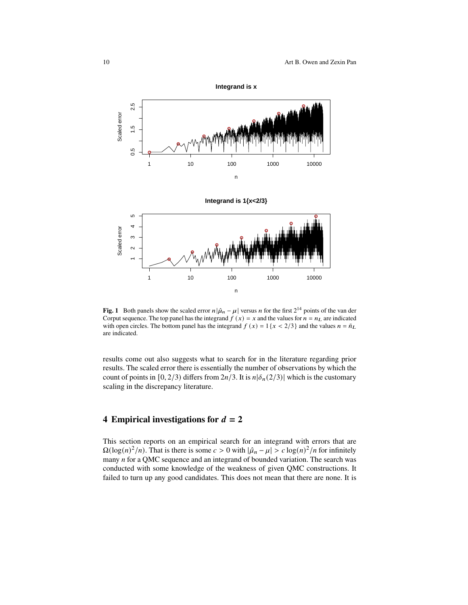

<span id="page-9-1"></span>**Fig. 1** Both panels show the scaled error  $n|\hat{\mu}_n - \mu|$  versus *n* for the first  $2^{14}$  points of the van der Corput sequence. The top panel has the integrand  $f(x) = x$  and the values for  $n = n<sub>L</sub>$  are indicated with open circles. The bottom panel has the integrand  $f(x) = 1\{x < 2/3\}$  and the values  $n = \tilde{n}_L$ are indicated.

results come out also suggests what to search for in the literature regarding prior results. The scaled error there is essentially the number of observations by which the count of points in [0, 2/3) differs from  $2n/3$ . It is  $n|\delta_n(2/3)|$  which is the customary scaling in the discrepancy literature.

#### <span id="page-9-0"></span>**4** Empirical investigations for  $d = 2$

This section reports on an empirical search for an integrand with errors that are  $\Omega(\log(n)^2/n)$ . That is there is some  $c > 0$  with  $|\hat{\mu}_n - \mu| > c \log(n)^2/n$  for infinitely many  $n$  for a QMC sequence and an integrand of bounded variation. The search was conducted with some knowledge of the weakness of given QMC constructions. It failed to turn up any good candidates. This does not mean that there are none. It is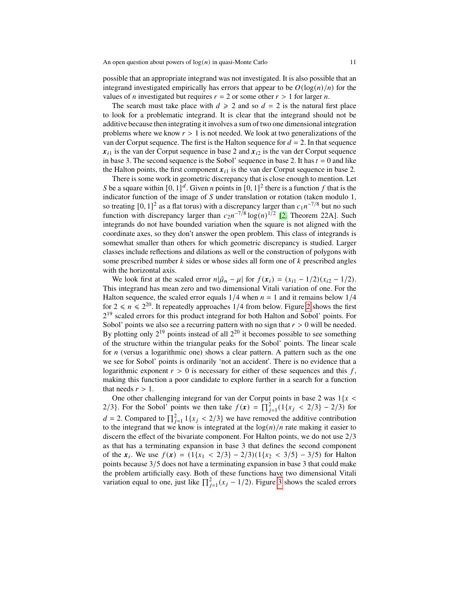possible that an appropriate integrand was not investigated. It is also possible that an integrand investigated empirically has errors that appear to be  $O(\log(n)/n)$  for the values of *n* investigated but requires  $r = 2$  or some other  $r > 1$  for larger *n*.

The search must take place with  $d \ge 2$  and so  $d = 2$  is the natural first place to look for a problematic integrand. It is clear that the integrand should not be additive because then integrating it involves a sum of two one dimensional integration problems where we know  $r > 1$  is not needed. We look at two generalizations of the van der Corput sequence. The first is the Halton sequence for  $d = 2$ . In that sequence  $x_{i1}$  is the van der Corput sequence in base 2 and  $x_{i2}$  is the van der Corput sequence in base 3. The second sequence is the Sobol' sequence in base 2. It has  $t = 0$  and like the Halton points, the first component  $x_{i1}$  is the van der Corput sequence in base 2.

There is some work in geometric discrepancy that is close enough to mention. Let S be a square within  $[0, 1]^d$ . Given *n* points in  $[0, 1]^2$  there is a function *f* that is the indicator function of the image of  $S$  under translation or rotation (taken modulo 1, so treating [0, 1]<sup>2</sup> as a flat torus) with a discrepancy larger than  $c_1n^{-7/8}$  but no such function with discrepancy larger than  $c_2n^{-7/8} \log(n)^{1/2}$  [\[2,](#page-18-17) Theorem 22A]. Such integrands do not have bounded variation when the square is not aligned with the coordinate axes, so they don't answer the open problem. This class of integrands is somewhat smaller than others for which geometric discrepancy is studied. Larger classes include reflections and dilations as well or the construction of polygons with some prescribed number  $k$  sides or whose sides all form one of  $k$  prescribed angles with the horizontal axis.

We look first at the scaled error  $n|\hat{\mu}_n - \mu|$  for  $f(x_i) = (x_{i1} - 1/2)(x_{i2} - 1/2)$ . This integrand has mean zero and two dimensional Vitali variation of one. For the Halton sequence, the scaled error equals  $1/4$  when  $n = 1$  and it remains below  $1/4$ for  $2 \le n \le 2^{20}$  $2 \le n \le 2^{20}$  $2 \le n \le 2^{20}$ . It repeatedly approaches 1/4 from below. Figure 2 shows the first 2<sup>19</sup> scaled errors for this product integrand for both Halton and Sobol' points. For Sobol' points we also see a recurring pattern with no sign that  $r > 0$  will be needed. By plotting only  $2^{19}$  points instead of all  $2^{20}$  it becomes possible to see something of the structure within the triangular peaks for the Sobol' points. The linear scale for  $n$  (versus a logarithmic one) shows a clear pattern. A pattern such as the one we see for Sobol' points is ordinarily 'not an accident'. There is no evidence that a logarithmic exponent  $r > 0$  is necessary for either of these sequences and this f, making this function a poor candidate to explore further in a search for a function that needs  $r > 1$ .

One other challenging integrand for van der Corput points in base 2 was  $1\{x \leq \}$ 2/3}. For the Sobol' points we then take  $f(x) = \prod_{j=1}^{2} (1\{x_j < 2/3\} - 2/3)$  for  $d = 2$ . Compared to  $\prod_{j=1}^{2} 1\{x_j < 2/3\}$  we have removed the additive contribution to the integrand that we know is integrated at the  $log(n)/n$  rate making it easier to discern the effect of the bivariate component. For Halton points, we do not use 2/3 as that has a terminating expansion in base 3 that defines the second component of the  $x_i$ . We use  $f(x) = (1\{x_1 < 2/3\} - 2/3)(1\{x_2 < 3/5\} - 3/5)$  for Halton points because 3/5 does not have a terminating expansion in base 3 that could make the problem artificially easy. Both of these functions have two dimensional Vitali variation equal to one, just like  $\prod_{j=1}^{2} (x_j - 1/2)$ . Figure [3](#page-12-0) shows the scaled errors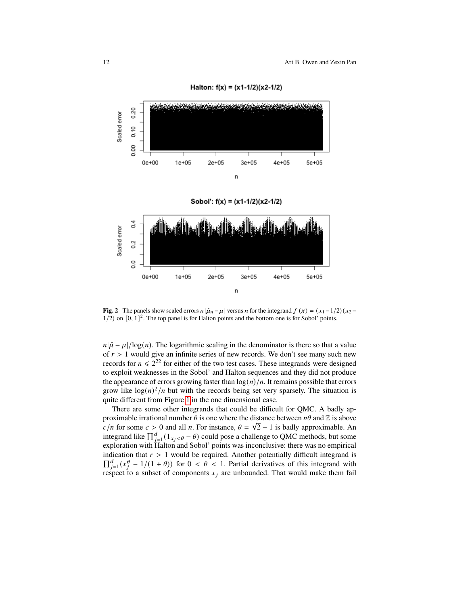

Halton:  $f(x) = (x1-1/2)(x2-1/2)$ 

<span id="page-11-0"></span>**Fig. 2** The panels show scaled errors  $n|\hat{\mu}_n - \mu|$  versus *n* for the integrand  $f(x) = (x_1 - 1/2)(x_2 1/2$ ) on  $[0, 1]^2$ . The top panel is for Halton points and the bottom one is for Sobol' points.

 $n|\hat{\mu} - \mu|/log(n)$ . The logarithmic scaling in the denominator is there so that a value of  $r > 1$  would give an infinite series of new records. We don't see many such new records for  $n \le 2^{22}$  for either of the two test cases. These integrands were designed to exploit weaknesses in the Sobol' and Halton sequences and they did not produce the appearance of errors growing faster than  $log(n)/n$ . It remains possible that errors grow like  $\log(n)^2/n$  but with the records being set very sparsely. The situation is quite different from Figure [1](#page-9-1) in the one dimensional case.

There are some other integrands that could be difficult for QMC. A badly approximable irrational number  $\theta$  is one where the distance between  $n\theta$  and  $\mathbb Z$  is above  $c/n$  for some  $c > 0$  and all n. For instance,  $\theta = \sqrt{2} - 1$  is badly approximable. An integrand like  $\prod_{j=1}^{d} (1_{x_j < \theta} - \theta)$  could pose a challenge to QMC methods, but some exploration with Halton and Sobol' points was inconclusive: there was no empirical indication that  $r > 1$  would be required. Another potentially difficult integrand is  $\prod_{j=1}^{d} (x_j^{\theta} - 1/(1 + \theta))$  for  $0 < \theta < 1$ . Partial derivatives of this integrand with respect to a subset of components  $x_j$  are unbounded. That would make them fail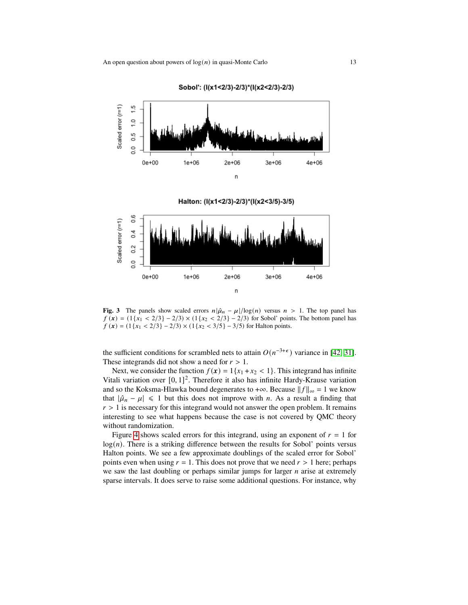

Sobol: (I(x1<2/3)-2/3)\*(I(x2<2/3)-2/3)

Halton: (I(x1<2/3)-2/3)\*(I(x2<3/5)-3/5)



<span id="page-12-0"></span>**Fig. 3** The panels show scaled errors  $n|\hat{\mu}_n - \mu|/\log(n)$  versus  $n > 1$ . The top panel has  $f(x) = (1\{x_1 < 2/3\} - 2/3) \times (1\{x_2 < 2/3\} - 2/3)$  for Sobol' points. The bottom panel has  $f(x) = (1\{x_1 < 2/3\} - 2/3) \times (1\{x_2 < 3/5\} - 3/5)$  for Halton points.

the sufficient conditions for scrambled nets to attain  $O(n^{-3+\epsilon})$  variance in [\[42,](#page-19-21) [31\]](#page-19-6). These integrands did not show a need for  $r > 1$ .

Next, we consider the function  $f(x) = 1\{x_1 + x_2 < 1\}$ . This integrand has infinite Vitali variation over  $[0, 1]^2$ . Therefore it also has infinite Hardy-Krause variation and so the Koksma-Hlawka bound degenerates to +∞. Because  $||f||_{\infty} = 1$  we know that  $|\hat{\mu}_n - \mu| \le 1$  but this does not improve with *n*. As a result a finding that  $r > 1$  is necessary for this integrand would not answer the open problem. It remains interesting to see what happens because the case is not covered by QMC theory without randomization.

Figure [4](#page-13-1) shows scaled errors for this integrand, using an exponent of  $r = 1$  for  $log(n)$ . There is a striking difference between the results for Sobol' points versus Halton points. We see a few approximate doublings of the scaled error for Sobol' points even when using  $r = 1$ . This does not prove that we need  $r > 1$  here; perhaps we saw the last doubling or perhaps similar jumps for larger  $n$  arise at extremely sparse intervals. It does serve to raise some additional questions. For instance, why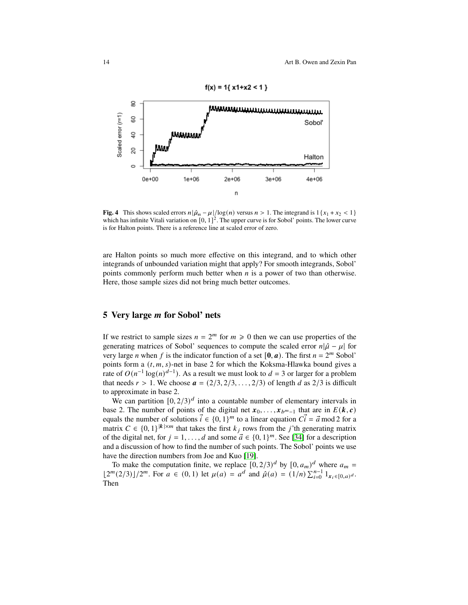

<span id="page-13-1"></span>**Fig. 4** This shows scaled errors  $n|\hat{\mu}_n - \mu|/\log(n)$  versus  $n > 1$ . The integrand is  $1\{x_1 + x_2 < 1\}$ which has infinite Vitali variation on  $[0, 1]^2$ . The upper curve is for Sobol' points. The lower curve is for Halton points. There is a reference line at scaled error of zero.

are Halton points so much more effective on this integrand, and to which other integrands of unbounded variation might that apply? For smooth integrands, Sobol' points commonly perform much better when  $n$  is a power of two than otherwise. Here, those sample sizes did not bring much better outcomes.

# <span id="page-13-0"></span>**5 Very large for Sobol' nets**

If we restrict to sample sizes  $n = 2^m$  for  $m \ge 0$  then we can use properties of the generating matrices of Sobol' sequences to compute the scaled error  $n|\hat{\mu} - \mu|$  for very large *n* when *f* is the indicator function of a set [0, *a*). The first  $n = 2^m$  Sobol' points form a  $(t, m, s)$ -net in base 2 for which the Koksma-Hlawka bound gives a rate of  $O(n^{-1} \log(n)^{d-1})$ . As a result we must look to  $d = 3$  or larger for a problem that needs  $r > 1$ . We choose  $\boldsymbol{a} = (2/3, 2/3, \ldots, 2/3)$  of length d as 2/3 is difficult to approximate in base 2.

We can partition  $[0, 2/3)^d$  into a countable number of elementary intervals in base 2. The number of points of the digital net  $x_0, \ldots, x_{b^{m-1}}$  that are in  $E(k, c)$ equals the number of solutions  $\vec{i} \in \{0, 1\}^m$  to a linear equation  $C\vec{i} = \vec{a} \mod 2$  for a matrix  $C \in \{0,1\}^{\vert k \vert \times m}$  that takes the first  $k_j$  rows from the j'th generating matrix of the digital net, for  $j = 1, ..., d$  and some  $\vec{a} \in \{0, 1\}^m$ . See [\[34\]](#page-19-15) for a description and a discussion of how to find the number of such points. The Sobol' points we use have the direction numbers from Joe and Kuo [\[19\]](#page-18-18).

To make the computation finite, we replace  $[0, 2/3)^d$  by  $[0, a_m)^d$  where  $a_m =$  $\lfloor 2^m (2/3) \rfloor / 2^m$ . For  $a \in (0, 1)$  let  $\mu(a) = a^d$  and  $\hat{\mu}(a) = (1/n) \sum_{i=0}^{n-1} 1_{x_i \in [0, a]^d}$ . Then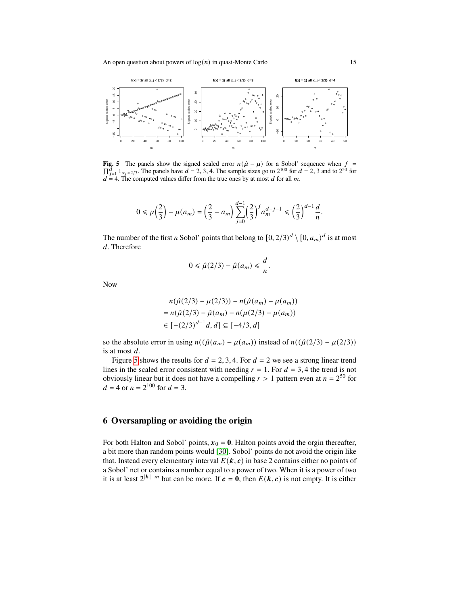

<span id="page-14-1"></span>**Fig. 5** The panels show the signed scaled error  $n(\hat{\mu} - \mu)$  for a Sobol' sequence when  $f =$  $\prod_{j=1}^{d} 1_{x_j < 2/3}$ . The panels have  $d = 2, 3, 4$ . The sample sizes go to  $2^{100}$  for  $d = 2, 3$  and to  $2^{50}$  for  $d = 4$ . The computed values differ from the true ones by at most d for all m.

$$
0 \leq \mu\left(\frac{2}{3}\right) - \mu(a_m) = \left(\frac{2}{3} - a_m\right) \sum_{j=0}^{d-1} \left(\frac{2}{3}\right)^j a_m^{d-j-1} \leq \left(\frac{2}{3}\right)^{d-1} \frac{d}{n}.
$$

The number of the first *n* Sobol' points that belong to  $[0, 2/3)^d \setminus [0, a_m)^d$  is at most d. Therefore

$$
0\leq \hat{\mu}(2/3)-\hat{\mu}(a_m)\leq \frac{d}{n}.
$$

Now

$$
n(\hat{\mu}(2/3) - \mu(2/3)) - n(\hat{\mu}(a_m) - \mu(a_m))
$$
  
=  $n(\hat{\mu}(2/3) - \hat{\mu}(a_m) - n(\mu(2/3) - \mu(a_m))$   
 $\in [-(2/3)^{d-1}d, d] \subseteq [-4/3, d]$ 

so the absolute error in using  $n((\hat{\mu}(a_m) - \mu(a_m))$  instead of  $n((\hat{\mu}(2/3) - \mu(2/3)))$ is at most  $d$ .

Figure [5](#page-14-1) shows the results for  $d = 2, 3, 4$ . For  $d = 2$  we see a strong linear trend lines in the scaled error consistent with needing  $r = 1$ . For  $d = 3, 4$  the trend is not obviously linear but it does not have a compelling  $r > 1$  pattern even at  $n = 2^{50}$  for  $d = 4$  or  $n = 2^{100}$  for  $d = 3$ .

# <span id="page-14-0"></span>**6 Oversampling or avoiding the origin**

For both Halton and Sobol' points,  $x_0 = 0$ . Halton points avoid the orgin thereafter, a bit more than random points would [\[30\]](#page-19-7). Sobol' points do not avoid the origin like that. Instead every elementary interval  $E(k, c)$  in base 2 contains either no points of a Sobol' net or contains a number equal to a power of two. When it is a power of two it is at least  $2^{|k|-m}$  but can be more. If  $c = 0$ , then  $E(k, c)$  is not empty. It is either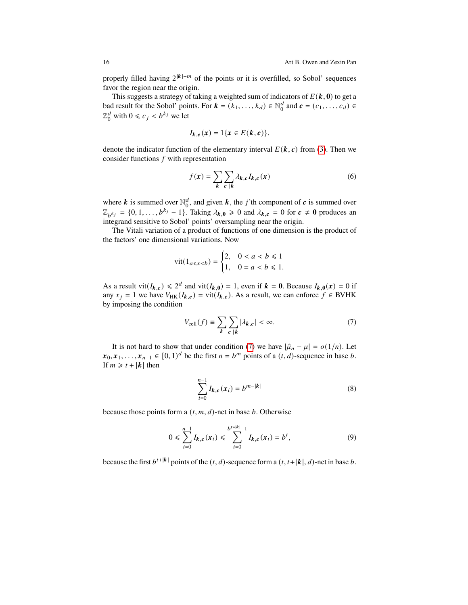properly filled having  $2^{|k|-m}$  of the points or it is overfilled, so Sobol' sequences favor the region near the origin.

This suggests a strategy of taking a weighted sum of indicators of  $E(k, 0)$  to get a bad result for the Sobol' points. For  $\mathbf{k} = (k_1, \dots, k_d) \in \mathbb{N}_0^d$  $\begin{pmatrix} d \\ 0 \end{pmatrix}$  and  $\mathbf{c} = (c_1, \ldots, c_d) \in$  $\mathbb{Z}_q^d$  $_0^d$  with  $0 \le c_j < b^{k_j}$  we let

$$
I_{k,c}(x)=1\{x\in E(k,c)\}.
$$

denote the indicator function of the elementary interval  $E(k, c)$  from [\(3\)](#page-5-0). Then we consider functions  $f$  with representation

$$
f(\mathbf{x}) = \sum_{k} \sum_{c \, |k} \lambda_{k,c} I_{k,c}(\mathbf{x}) \tag{6}
$$

where k is summed over  $\mathbb{N}_0^d$  $\mathbf{d}_0^d$ , and given  $\mathbf{k}$ , the *j*'th component of  $\mathbf{c}$  is summed over  $\mathbb{Z}_{b^{k_j}} = \{0, 1, \ldots, b^{k_j} - 1\}$ . Taking  $\lambda_{k,0} \geq 0$  and  $\lambda_{k,c} = 0$  for  $c \neq 0$  produces an integrand sensitive to Sobol' points' oversampling near the origin.

The Vitali variation of a product of functions of one dimension is the product of the factors' one dimensional variations. Now

$$
\text{vit}(1_{a \le x < b}) = \begin{cases} 2, & 0 < a < b \le 1 \\ 1, & 0 = a < b \le 1. \end{cases}
$$

As a result vit $(I_{k,c}) \le 2^d$  and vit $(I_{k,0}) = 1$ , even if  $k = 0$ . Because  $I_{k,0}(x) = 0$  if any  $x_i = 1$  we have  $V_{HK}(I_{k,c}) = \text{vit}(I_{k,c})$ . As a result, we can enforce  $f \in BVHK$ by imposing the condition

<span id="page-15-0"></span>
$$
V_{\text{cell}}(f) \equiv \sum_{k} \sum_{c \, |k} |\lambda_{k,c}| < \infty. \tag{7}
$$

It is not hard to show that under condition [\(7\)](#page-15-0) we have  $|\hat{\mu}_n - \mu| = o(1/n)$ . Let  $x_0, x_1, \ldots, x_{n-1} \in [0, 1)^d$  be the first  $n = b^m$  points of a  $(t, d)$ -sequence in base b. If  $m \geq t + |k|$  then

<span id="page-15-2"></span><span id="page-15-1"></span>
$$
\sum_{i=0}^{n-1} I_{k,c}(x_i) = b^{m-|k|}
$$
 (8)

because those points form a  $(t, m, d)$ -net in base  $b$ . Otherwise

$$
0 \leqslant \sum_{i=0}^{n-1} I_{k,c}(x_i) \leqslant \sum_{i=0}^{b^{t+|k|}-1} I_{k,c}(x_i) = b^t,
$$
\n(9)

<span id="page-15-3"></span>because the first  $b^{t+|k|}$  points of the  $(t, d)$ -sequence form a  $(t, t+|k|, d)$ -net in base b.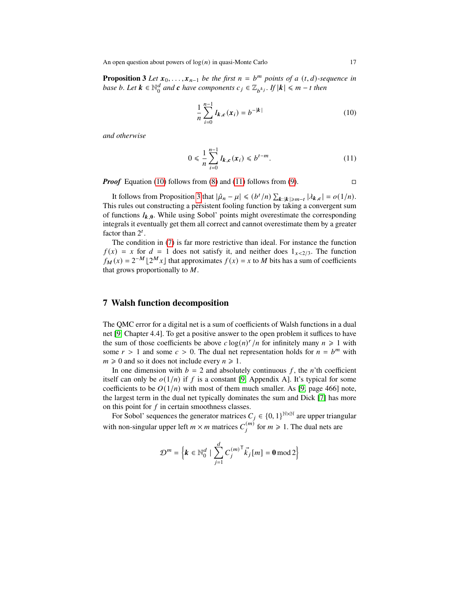An open question about powers of  $log(n)$  in quasi-Monte Carlo 17

**Proposition 3** *Let*  $x_0, \ldots, x_{n-1}$  *be the first*  $n = b^m$  *points of a*  $(t, d)$ *-sequence in base b*. Let  $k \in \mathbb{N}_0^d$  $\frac{d}{d}$  and **c** have components  $c_j \in \mathbb{Z}_{b^{k_j}}$ . If  $|k| \leq m - t$  then

<span id="page-16-2"></span><span id="page-16-1"></span>
$$
\frac{1}{n}\sum_{i=0}^{n-1}I_{k,c}(x_i) = b^{-|k|}
$$
\n(10)

*and otherwise*

$$
0 \le \frac{1}{n} \sum_{i=0}^{n-1} I_{k,c}(x_i) \le b^{t-m}.
$$
 (11)

*Proof* Equation [\(10\)](#page-16-1) follows from [\(8\)](#page-15-1) and [\(11\)](#page-16-2) follows from [\(9\)](#page-15-2).  $\Box$ 

It follows from Proposition [3](#page-15-3) that  $|\hat{\mu}_n - \mu| \leq (b^t/n) \sum_{k} |\mathbf{k}| \geq m-t} |\lambda_{k,c}| = o(1/n)$ . This rules out constructing a persistent fooling function by taking a convergent sum of functions  $I_{k,0}$ . While using Sobol' points might overestimate the corresponding integrals it eventually get them all correct and cannot overestimate them by a greater factor than  $2^t$ .

The condition in [\(7\)](#page-15-0) is far more restrictive than ideal. For instance the function  $f(x) = x$  for  $d = 1$  does not satisfy it, and neither does  $1_{x \leq 2/3}$ . The function  $f_M(x) = 2^{-M} \lfloor 2^M x \rfloor$  that approximates  $f(x) = x$  to M bits has a sum of coefficients that grows proportionally to  $M$ .

# <span id="page-16-0"></span>**7 Walsh function decomposition**

The QMC error for a digital net is a sum of coefficients of Walsh functions in a dual net [\[9,](#page-18-13) Chapter 4.4]. To get a positive answer to the open problem it suffices to have the sum of those coefficients be above  $c \log(n)^r / n$  for infinitely many  $n \ge 1$  with some  $r > 1$  and some  $c > 0$ . The dual net representation holds for  $n = b^m$  with  $m \geq 0$  and so it does not include every  $n \geq 1$ .

In one dimension with  $b = 2$  and absolutely continuous f, the n'th coefficient itself can only be  $o(1/n)$  if f is a constant [\[9,](#page-18-13) Appendix A]. It's typical for some coefficients to be  $O(1/n)$  with most of them much smaller. As [\[9,](#page-18-13) page 466] note, the largest term in the dual net typically dominates the sum and Dick [\[7\]](#page-18-19) has more on this point for  $f$  in certain smoothness classes.

For Sobol' sequences the generator matrices  $C_i \in \{0,1\}^{N \times N}$  are upper triangular with non-singular upper left  $m \times m$  matrices  $C_i^{(m)}$  for  $m \ge 1$ . The dual nets are

$$
\mathcal{D}^m = \left\{ \boldsymbol{k} \in \mathbb{N}_0^d \mid \sum_{j=1}^d C_j^{(m)^\mathsf{T}} \vec{k}_j \, [m] = \mathbf{0} \,\mathrm{mod}\, 2 \right\}
$$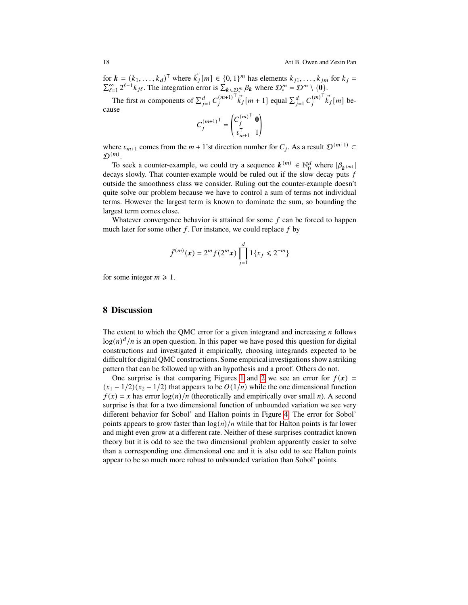for  $\mathbf{k} = (k_1, \dots, k_d)^\mathsf{T}$  where  $\vec{k}_j[m] \in \{0, 1\}^m$  has elements  $k_{j1}, \dots, k_{jm}$  for  $k_j =$  $\sum_{\ell=1}^{\infty} 2^{\ell-1} k_{j\ell}$ . The integration error is  $\sum_{k \in \mathcal{D}_{\epsilon}^{m}} \beta_k$  where  $\mathcal{D}_{\epsilon}^{m} = \mathcal{D}^{m} \setminus \{0\}$ .

The first *m* components of  $\sum_{j=1}^{d} C_j^{(m+1)}$  $\overrightarrow{k}_j$  [*m* + 1] equal  $\sum_{j=1}^d C_j^{(m)}$  $\overrightarrow{k}_i$ [*m*] because

$$
C_j^{(m+1)^{\mathsf{T}}} = \begin{pmatrix} C_j^{(m)^{\mathsf{T}}} & \mathbf{0} \\ v_{m+1}^{\mathsf{T}} & 1 \end{pmatrix}
$$

where  $v_{m+1}$  comes from the  $m + 1$ 'st direction number for  $C_j$ . As a result  $\mathcal{D}^{(m+1)}$  $\mathcal{D}^{(m)}$ .

To seek a counter-example, we could try a sequence  $\mathbf{k}^{(m)} \in \mathbb{N}_0^d$  $\binom{d}{0}$  where  $|\beta_{k^{(m)}}|$ decays slowly. That counter-example would be ruled out if the slow decay puts f outside the smoothness class we consider. Ruling out the counter-example doesn't quite solve our problem because we have to control a sum of terms not individual terms. However the largest term is known to dominate the sum, so bounding the largest term comes close.

Whatever convergence behavior is attained for some  $f$  can be forced to happen much later for some other  $f$ . For instance, we could replace  $f$  by

$$
\tilde{f}^{(m)}(\boldsymbol{x}) = 2^m f(2^m \boldsymbol{x}) \prod_{j=1}^d 1\{x_j \leq 2^{-m}\}
$$

for some integer  $m \ge 1$ .

## <span id="page-17-0"></span>**8 Discussion**

The extent to which the QMC error for a given integrand and increasing  $n$  follows  $log(n)^d/n$  is an open question. In this paper we have posed this question for digital constructions and investigated it empirically, choosing integrands expected to be difficult for digital QMC constructions. Some empirical investigations show a striking pattern that can be followed up with an hypothesis and a proof. Others do not.

One surprise is that comparing Figures [1](#page-9-1) and [2](#page-11-0) we see an error for  $f(x) =$  $(x_1 - 1/2)(x_2 - 1/2)$  that appears to be  $O(1/n)$  while the one dimensional function  $f(x) = x$  has error  $\log(n)/n$  (theoretically and empirically over small n). A second surprise is that for a two dimensional function of unbounded variation we see very different behavior for Sobol' and Halton points in Figure [4.](#page-13-1) The error for Sobol' points appears to grow faster than  $log(n)/n$  while that for Halton points is far lower and might even grow at a different rate. Neither of these surprises contradict known theory but it is odd to see the two dimensional problem apparently easier to solve than a corresponding one dimensional one and it is also odd to see Halton points appear to be so much more robust to unbounded variation than Sobol' points.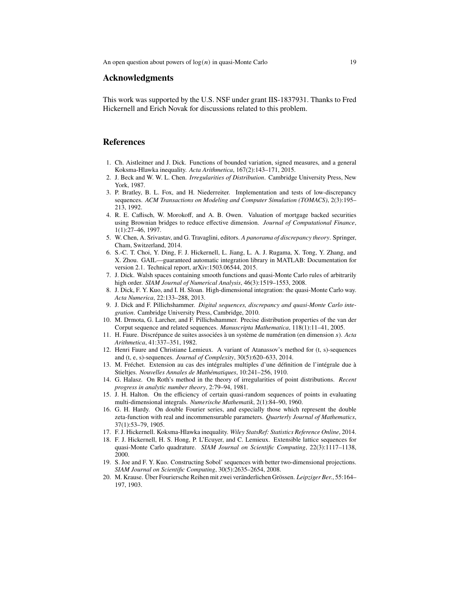#### **Acknowledgments**

This work was supported by the U.S. NSF under grant IIS-1837931. Thanks to Fred Hickernell and Erich Novak for discussions related to this problem.

#### **References**

- <span id="page-18-8"></span>1. Ch. Aistleitner and J. Dick. Functions of bounded variation, signed measures, and a general Koksma-Hlawka inequality. *Acta Arithmetica*, 167(2):143–171, 2015.
- <span id="page-18-17"></span>2. J. Beck and W. W. L. Chen. *Irregularities of Distribution*. Cambridge University Press, New York, 1987.
- <span id="page-18-2"></span>3. P. Bratley, B. L. Fox, and H. Niederreiter. Implementation and tests of low-discrepancy sequences. *ACM Transactions on Modeling and Computer Simulation (TOMACS)*, 2(3):195– 213, 1992.
- <span id="page-18-3"></span>4. R. E. Caflisch, W. Morokoff, and A. B. Owen. Valuation of mortgage backed securities using Brownian bridges to reduce effective dimension. *Journal of Computational Finance*, 1(1):27–46, 1997.
- <span id="page-18-10"></span>5. W. Chen, A. Srivastav, and G. Travaglini, editors. *A panorama of discrepancy theory*. Springer, Cham, Switzerland, 2014.
- <span id="page-18-1"></span>6. S.-C. T. Choi, Y. Ding, F. J. Hickernell, L. Jiang, L. A. J. Rugama, X. Tong, Y. Zhang, and X. Zhou. GAIL—guaranteed automatic integration library in MATLAB: Documentation for version 2.1. Technical report, arXiv:1503.06544, 2015.
- <span id="page-18-19"></span>7. J. Dick. Walsh spaces containing smooth functions and quasi-Monte Carlo rules of arbitrarily high order. *SIAM Journal of Numerical Analysis*, 46(3):1519–1553, 2008.
- <span id="page-18-4"></span>8. J. Dick, F. Y. Kuo, and I. H. Sloan. High-dimensional integration: the quasi-Monte Carlo way. *Acta Numerica*, 22:133–288, 2013.
- <span id="page-18-13"></span>9. J. Dick and F. Pillichshammer. *Digital sequences, discrepancy and quasi-Monte Carlo integration*. Cambridge University Press, Cambridge, 2010.
- <span id="page-18-16"></span>10. M. Drmota, G. Larcher, and F. Pillichshammer. Precise distribution properties of the van der Corput sequence and related sequences. *Manuscripta Mathematica*, 118(1):11–41, 2005.
- <span id="page-18-14"></span>11. H. Faure. Discrépance de suites associées à un système de numération (en dimension ). *Acta Arithmetica*, 41:337–351, 1982.
- <span id="page-18-0"></span>12. Henri Faure and Christiane Lemieux. A variant of Atanassov's method for (t, s)-sequences and (t, e, s)-sequences. *Journal of Complexity*, 30(5):620–633, 2014.
- <span id="page-18-5"></span>13. M. Fréchet. Extension au cas des intégrales multiples d'une définition de l'intégrale due à Stieltjes. *Nouvelles Annales de Mathématiques*, 10:241–256, 1910.
- <span id="page-18-15"></span>14. G. Halasz. On Roth's method in the theory of irregularities of point distributions. *Recent progress in analytic number theory*, 2:79–94, 1981.
- <span id="page-18-11"></span>15. J. H. Halton. On the efficiency of certain quasi-random sequences of points in evaluating multi-dimensional integrals. *Numerische Mathematik*, 2(1):84–90, 1960.
- <span id="page-18-6"></span>16. G. H. Hardy. On double Fourier series, and especially those which represent the double zeta-function with real and incommensurable parameters. *Quarterly Journal of Mathematics*, 37(1):53–79, 1905.
- <span id="page-18-9"></span>17. F. J. Hickernell. Koksma-Hlawka inequality. *Wiley StatsRef: Statistics Reference Online*, 2014.
- <span id="page-18-12"></span>18. F. J. Hickernell, H. S. Hong, P. L'Ecuyer, and C. Lemieux. Extensible lattice sequences for quasi-Monte Carlo quadrature. *SIAM Journal on Scientific Computing*, 22(3):1117–1138, 2000.
- <span id="page-18-18"></span>19. S. Joe and F. Y. Kuo. Constructing Sobol' sequences with better two-dimensional projections. *SIAM Journal on Scientific Computing*, 30(5):2635–2654, 2008.
- <span id="page-18-7"></span>20. M. Krause. Über Fouriersche Reihen mit zwei veränderlichen Grössen. *Leipziger Ber.*, 55:164– 197, 1903.